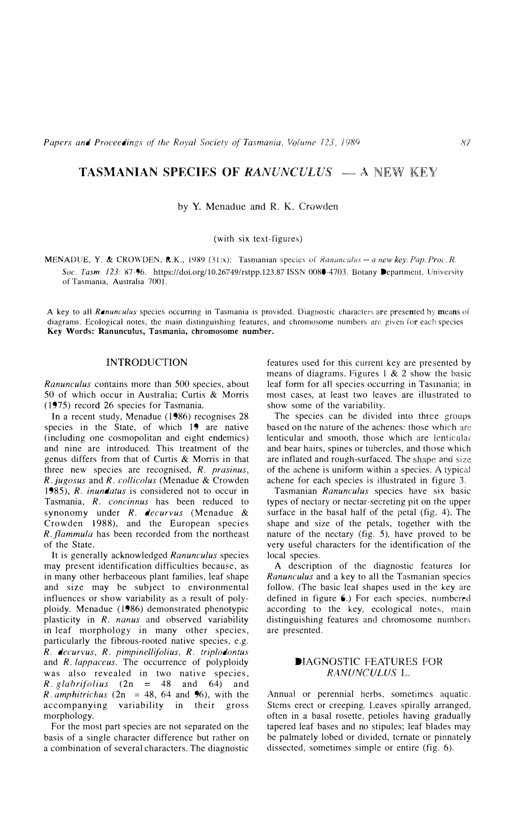# **TASMANIAN SPECIES OF** *RANUNCULUS*  $-$  A NEW KEY

### by Y. Menadue and R. K. Crowden

### (with six text-figures)

MENADUE. Y. & CROWDEN, R.K., 1989 (31:x): Tasmanian species of *i?anunculus -- a new key. Pap. Proc. R.* Soc. Tasm. 123: 87-96. https://doi.org/10.26749/rstpp.123.87 ISSN 0080-4703. Botany Department, University of Tasmania, Australia 7001.

A key to all *Ranunculus* species occurring in Tasmania is provided. Diagnostic characters are presented by means of diagrams. Ecological notes, the main distinguishing features, and chromosome numbers are given for each species **Key** Words: Ranunculus, Tasmania, chromosome number.

### INTRODUCTION

*Ranunculus* contains more than 500 species, about 50 of which occur in Australia; Curtis & Morris (1975) record 26 species for Tasmania.

In a recent study, Menadue ( 1986) recognises 28 species in the State, of which 19 are native (including one cosmopolitan and eight endemics) and nine are introduced. This treatment of the genus differs from that of Curtis & Morris in that three new species are recognised, *R. prasinus, R. jugosus* and *R. collicolus* (Menadue & Crowden 1985), *R. inundatus* is considered not to occur in Tasmania, *R. concinnus* has been reduced to synonomy under *R. decurvus* (Menadue & Crowden 1988), and the European species *R. flammula* has been recorded from the northeast of the State.

It is generally acknowledged *Ranunculus* species may present identification difficulties because, as in many other herbaceous plant families, leaf shape and size may be subject to environmental influences or show variability as a result of polyploidy. Menadue (1986) demonstrated phenotypic plasticity in *R. nanus* and observed variability in leaf morphology in many other species, particularly the fibrous-rooted native species, e.g. *R. decurvus, R. pimpinellifolius, R. triplodontus* and *R. lappaceus.* The occurrence of polyploidy was also revealed in two native species, *R.*  $g$ labrifolius (2n = 48 and 64) and  $R.$  *amphitrichus* (2n = 48, 64 and 96), with the accompanying variability in their gross morphology.

For the most part species are not separated on the basis of a single character difference but rather on a combination of several characters. The diagnostic

features used for this current key are presented by means of diagrams. Figures 1 & 2 show the basic leaf form for all species occurring in Tasmania; in most cases, at least two leaves are illustrated to show some of the variability.

The species can be divided into three groups based on the nature of the achenes: those which are lenticular and smooth, those which are lenticula< and bear hairs, spines or tubercles, and those which are inflated and rough-surfaced. The shape and size of the achene is uniform within a species. *A* typical achene for each species is illustrated in figure 3.

Tasmanian *Ranunculus* species have six basic types of nectary or nectar-secreting pit on the upper surface in the basal half of the petal (fig. 4). The shape and size of the petals, together with the nature of the nectary (fig. 5), have proved to be very useful characters for the identification of the local species.

A description of the diagnostic features for *Ranunculus* and a key to all the Tasmanian species follow. (The basic leaf shapes used in the key are defined in figure 6.) For each species, numbered according to the key, ecological notes, main distinguishing features and chromosome numbers are presented.

### DIAGNOSTIC FEATURES FOR *RANUNCULUS* L.

Annual or perennial herbs, sometimes aquatic. Stems erect or creeping. Leaves spirally arranged, often in a basal rosette, petioles having gradually tapered leaf bases and no stipules; leaf blades may be palmately lobed or divided, temate or pinnately dissected, sometimes simple or entire (fig. 6).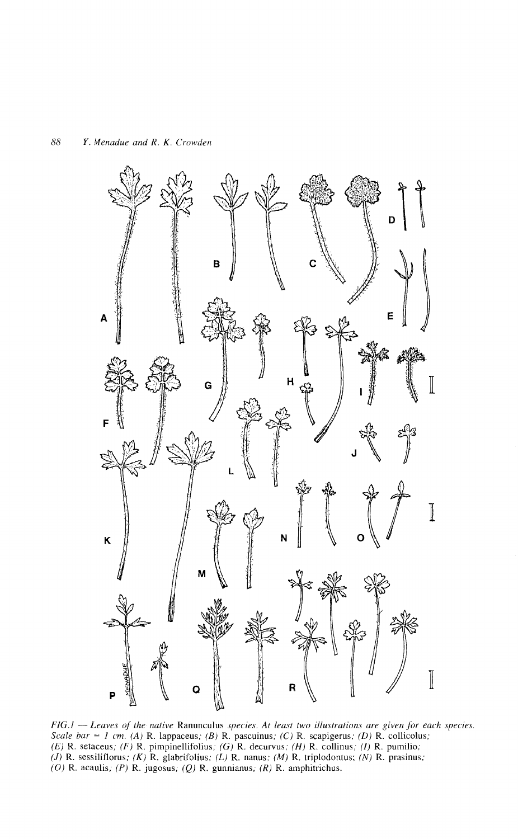

*FIG.l* - *Leaves of the native* Ranunculus *species. At least two illustrations are given for each species. Scale bar* = *I em. (A)* R. lappaceus; *(B)* R. pascuinus; (C) R. scapigerus; *(D)* R. collicolus; (E) R. setaceus; (F) R. pimpinellifolius; (G) R. decurvus; (H) R. collinus; *(I)* R. pumilio; (J) R. sessiliflorus; (K) R. glabrifolius; (L) R. nanus; (M) R. triplodontus; (N) R. prasinus; (O) R. acaulis; (P) R. jugosus; (Q) R. gunnianus; (R) R. amphitrichus.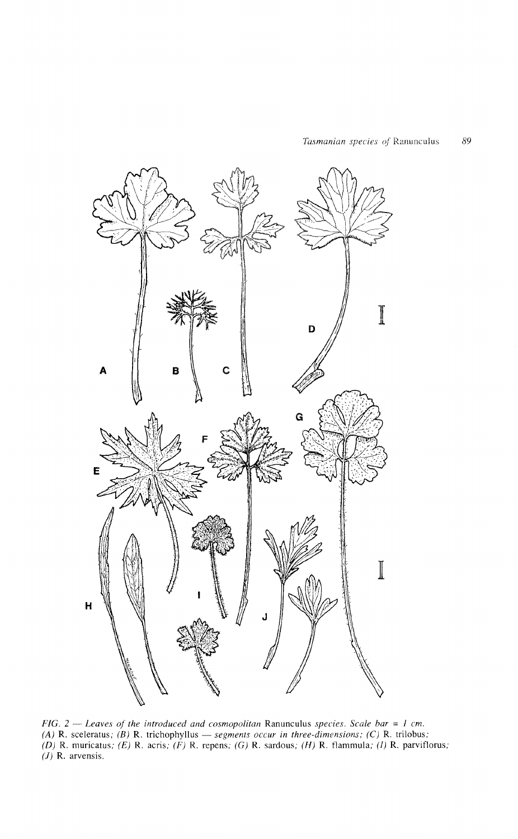

*FIG.* 2 - *Leaves of the introduced and cosmopolitan* Ranunculus *species. Scale bar* = *I em. (A)* R. sceleratus; *(B)* R. trichophyllus - *segments occur in three-dimensions;* (C) R. trilobus; (D) R. muricatus; (E) R. acris; (F) R. repens; (G) R. sardous; (H) R. flammula; (1) R. parviflorus; (J) R. arvensis.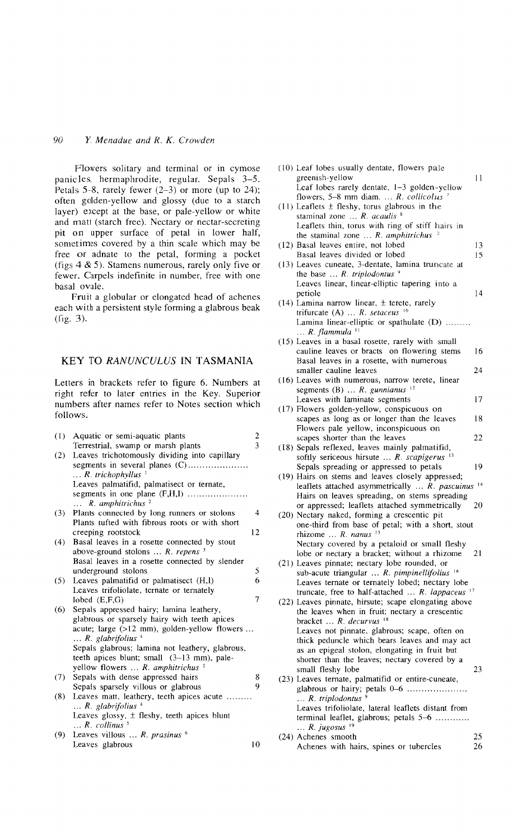## 90 Y. *Menadue and R. K. Crowden*

Flowers solitary and terminal or in cymose panicles, hermaphrodite, regular. Sepals 3-5. Petals 5-8, rarely fewer (2-3) or more (up to 24); often golden-yellow and glossy (due to a starch layer) except at the base, or pale-yellow or white and matt (starch free). Nectary or nectar-secreting pit on upper surface of petal in lower half, sometimes covered by a thin scale which may be free or adnate to the petal, forming a pocket (figs  $4 \& 5$ ). Stamens numerous, rarely only five or fewer. Carpels indefinite in number, free with one basal ovule.

Fruit a globular or elongated head of achenes each with a persistent style forming a glabrous beak (fig. 3).

### KEY TO RANUNCULUS IN TASMANIA

Letters in brackets refer to figure 6. Numbers at right refer to later entries in the Key. Superior numbers after names refer to Notes section which follows.

| (1) | Aquatic or semi-aquatic plants                          | $\overline{\mathbf{c}}$ |
|-----|---------------------------------------------------------|-------------------------|
|     | Terrestrial, swamp or marsh plants                      | $\overline{3}$          |
| (2) | Leaves trichotomously dividing into capillary           |                         |
|     | segments in several planes (C)                          |                         |
|     | $\ldots$ R. trichophyllus $\frac{1}{2}$                 |                         |
|     | Leaves palmatifid, palmatisect or ternate,              |                         |
|     | segments in one plane $(F,H,I)$                         |                         |
|     | $\ldots$ R amphitrichus <sup>2</sup>                    |                         |
| (3) | Plants connected by long runners or stolons             | $\overline{4}$          |
|     | Plants tufted with fibrous roots or with short          |                         |
|     | creeping rootstock                                      | 12                      |
| (4) | Basal leaves in a rosette connected by stout            |                         |
|     | above-ground stolons $\ldots$ R. repens $3$             |                         |
|     | Basal leaves in a rosette connected by slender          |                         |
|     | underground stolons                                     | 5                       |
| (5) | Leaves palmatifid or palmatisect (H,I)                  | 6                       |
|     | Leaves trifoliolate, ternate or ternately               |                         |
|     | lobed $(E.F.G)$                                         | 7                       |
| (6) | Sepals appressed hairy; lamina leathery,                |                         |
|     | glabrous or sparsely hairy with teeth apices            |                         |
|     | acute; large $(>12 \text{ mm})$ , golden-yellow flowers |                         |
|     | $\ldots$ R. glabrifolius <sup>4</sup>                   |                         |
|     | Sepals glabrous; lamina not leathery, glabrous,         |                         |
|     | teeth apices blunt; small (3-13 mm), pale-              |                         |
|     | yellow flowers  R. amphitrichus <sup>2</sup>            |                         |
| (7) | Sepals with dense appressed hairs                       | 8                       |
|     | Sepals sparsely villous or glabrous                     | 9                       |
| (8) | Leaves matt, leathery, teeth apices acute               |                         |
|     | $\ldots$ R. glabrifolius $\frac{4}{3}$                  |                         |
|     | Leaves glossy, $\pm$ fleshy, teeth apices blunt         |                         |
|     | $\ldots$ R. collinus $^5$                               |                         |
| (9) | Leaves villous $\ldots$ R. prasinus $\circ$             |                         |
|     | Leaves glabrous                                         | 10                      |

| (10) Leaf lobes usually dentate, flowers pale<br>greenish-yellow<br>Leaf lobes rarely dentate, 1-3 golden-yellow<br>flowers, 5-8 mm diam. $R$ . collicolus <sup>7</sup>                                                | 11       |
|------------------------------------------------------------------------------------------------------------------------------------------------------------------------------------------------------------------------|----------|
| $(11)$ Leaflets $\pm$ fleshy, torus glabrous in the<br>staminal zone  R. acaulis 8<br>Leaflets thin, torus with ring of stiff hairs in<br>the staminal zone $\ldots$ R. amphitrichus $2$                               |          |
| (12) Basal leaves entire, not lobed<br>Basal leaves divided or lobed                                                                                                                                                   | 13<br>15 |
| (13) Leaves cuneate, 3-dentate, lamina truncate at<br>the base $\ldots$ R. triplodontus <sup>9</sup><br>Leaves linear, linear-elliptic tapering into a                                                                 |          |
| petiole<br>$(14)$ Lamina narrow linear, $\pm$ terete, rarely                                                                                                                                                           | 14       |
| trifurcate (A) $R.$ setaceus $10$<br>Lamina linear-elliptic or spathulate (D)<br>$\ldots$ R. flammula <sup>11</sup>                                                                                                    |          |
| (15) Leaves in a basal rosette, rarely with small<br>cauline leaves or bracts on flowering stems<br>Basal leaves in a rosette, with numerous                                                                           | 16       |
| smaller cauline leaves<br>(16) Leaves with numerous, narrow terete, linear                                                                                                                                             | 24       |
| segments (B) $R$ . gunnianus <sup>12</sup><br>Leaves with laminate segments                                                                                                                                            | 17       |
| (17) Flowers golden-yellow, conspicuous on                                                                                                                                                                             |          |
| scapes as long as or longer than the leaves<br>Flowers pale yellow, inconspicuous on                                                                                                                                   | 18       |
| scapes shorter than the leaves<br>(18) Sepals reflexed, leaves mainly palmatifid,<br>softly sericeous hirsute $\ldots$ R. scapigerus $^{13}$                                                                           | 22       |
| Sepals spreading or appressed to petals                                                                                                                                                                                | 19       |
| (19) Hairs on stems and leaves closely appressed;<br>leaflets attached asymmetrically  R. pascuinus<br>Hairs on leaves spreading, on stems spreading                                                                   | 14       |
| or appressed; leaflets attached symmetrically<br>(20) Nectary naked, forming a crescentic pit<br>one-third from base of petal; with a short, stout<br>rhizome  R. nanus <sup>15</sup>                                  | 20       |
| Nectary covered by a petaloid or small fleshy<br>lobe or nectary a bracket; without a rhizome<br>(21) Leaves pinnate; nectary lobe rounded, or                                                                         | 21       |
| sub-acute triangular  R. pimpinellifolius 16<br>Leaves ternate or ternately lobed; nectary lobe<br>truncate, free to half-attached  R. lappaceus <sup>17</sup><br>(22) Leaves pinnate, hirsute; scape elongating above |          |
| the leaves when in fruit; nectary a crescentic<br>bracket  R. decurvus <sup>18</sup><br>Leaves not pinnate, glabrous; scape, often on<br>thick peduncle which bears leaves and may act                                 |          |
| as an epigeal stolon, elongating in fruit but<br>shorter than the leaves; nectary covered by a<br>small fleshy lobe                                                                                                    | 23       |
| (23) Leaves ternate, palmatifid or entire-cuneate,<br>glabrous or hairy; petals 0-6<br>$\ldots$ R. triplodontus <sup>9</sup><br>Leaves trifoliolate, lateral leaflets distant from                                     |          |
| terminal leaflet, glabrous; petals 5–6<br>$\ldots$ R. jugosus <sup>19</sup><br>(24) Achenes smooth<br>Achenes with hairs, spines or tubercles                                                                          | 25<br>26 |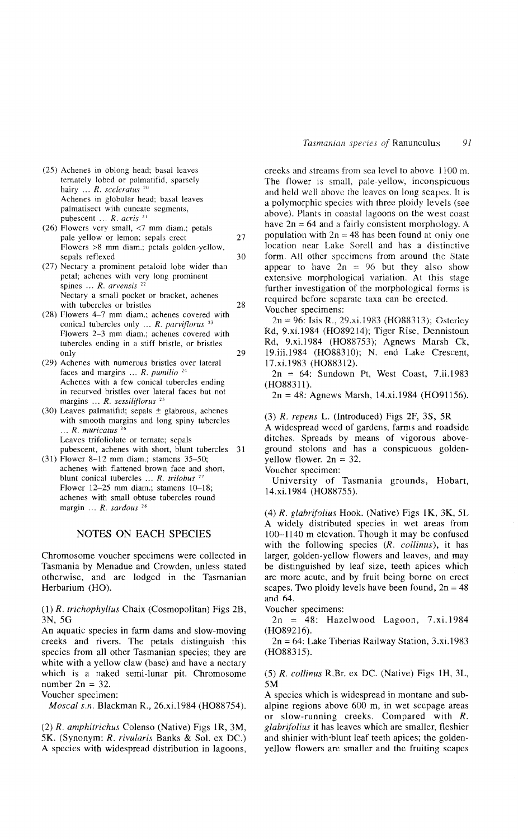- (25) Achenes in oblong head; basal leaves temately lobed or palmatifid, sparsely hairy ... *R. sceleratus <sup>20</sup>* Achenes in globular head; basal leaves palmatisect with cuneate segments, pubescent ... *R. acris* <sup>21</sup>
- (26) Flowers very small, <7 mm diam.; petals pale-yellow or lemon; sepals erect 27 Flowers >8 mm diam.; petals golden-yellow, sepals reflexed 30
- (27) Nectary a prominent petaloid lobe wider than petal; achenes with very long prominent spines ... *R. arvensis <sup>22</sup>* Nectary a small pocket or bracket, achenes with tubercles or bristles 28
- (28) Flowers 4-7 mm diam.; achenes covered with conical tubercles only ... *R. parviflorus <sup>23</sup>* Flowers 2-3 mm diam.; achenes covered with tubercles ending in a stiff bristle, or bristles only  $29$
- (29) Achenes with numerous bristles over lateral faces and margins  $\ldots$  *R. pumilio*  $24$ Achenes with a few conical tubercles ending in recurved bristles over lateral faces but not margins ... *R. sessiliflorus <sup>25</sup>*
- (30) Leaves palmatifid; sepals  $\pm$  glabrous, achenes with smooth margins and long spiny tubercles ... *R. muricatus* <sup>26</sup> Leaves trifoliolate or temate; sepals pubescent, achenes with short, blunt tubercles 31
- (31) Flower 8-12 mm diam.; stamens 35-50; achenes with flattened brown face and short, blunt conical tubercles ... *R. trilobus* <sup>27</sup> Flower 12-25 mm diam.; stamens 10-18; achenes with small obtuse tubercles round margin ... *R. sardous "*

### NOTES ON EACH SPECIES

Chromosome voucher specimens were collected in Tasmania by Menadue and Crowden, unless stated otherwise, and are lodged in the Tasmanian Herbarium (HO).

(1) *R. trichophyllus* Chaix (Cosmopolitan) Figs 2B, 3N,5G

An aquatic species in farm dams and slow-moving creeks and rivers. The petals distinguish this species from all other Tasmanian species; they are white with a yellow claw (base) and have a nectary which is a naked semi-lunar pit. Chromosome number  $2n = 32$ .

Voucher specimen;

*Moscal s.n.* Blackman R., 26.xi.1984 (H088754).

*(2) R. amphitrichus* Colenso (Native) Figs IR, 3M, 5K. (Synonym: *R. rivularis* Banks & Sol. ex DC.) A species with widespread distribution in lagoons, creeks and streams from sea level to above 1100 m. The flower is small, pale-yellow, inconspicuous and held well above the leaves on long scapes. It is a polymorphic species with three ploidy levels (see above). Plants in coastal lagoons on the west coast have  $2n = 64$  and a fairly consistent morphology. A population with  $2n = 48$  has been found at only one location near Lake Sorell and has a distinctive form. All other specimens from around the State appear to have  $2n = 96$  but they also show extensive morphological variation. At this stage further investigation of the morphological forms is required before separate taxa can be erected. Voucher specimens:

2n =96: Isis R., 29.xi.1983 (H088313); Osterley Rd, 9.xi.1984 (H089214); Tiger Rise, Dennistoun Rd, 9.xi.l984 (H088753); Agnews Marsh Ck, 19.iii.1984 (HO88310); N. end Lake Crescent, 17.xi.l983 (H088312).

2n = 64: Sundown Pt, West Coast, 7.ii.1983 (H088311).

 $2n = 48$ : Agnews Marsh, 14.xi.1984 (HO91156).

(3) *R. repens* L. (Introduced) Figs 2F, 3S, 5R

A widespread weed of gardens, farms and roadside ditches. Spreads by means of vigorous aboveground stolons and has a conspicuous goldenyellow flower.  $2n = 32$ .

Voucher specimen:

University of Tasmania grounds, Hobart, 14.xi.1984 (H088755).

*(4) R. glabrifolius* Hook. (Native) Figs IK, 3K, 5L A widely distributed species in wet areas from 100-1140 m elevation. Though it may be confused with the following species *(R. collinus),* it has larger, golden-yellow tlowers and leaves, and may be distinguished by leaf size, teeth apices which are more acute, and by fruit being borne on erect scapes. Two ploidy levels have been found,  $2n = 48$ and 64.

Voucher specimens:

2n = 48; Hazelwood Lagoon, 7.xi.1984 (H089216).

2n = 64: Lake Tiberias Railway Station, 3.xi.1983 (H088315).

*(5) R. collinus* R.Br. ex DC. (Native) Figs IH, 3L, 5M

A species which is widespread in montane and subalpine regions above 600 m, in wet seepage areas or slow-running creeks. Compared with *R. glabrifolius* it has leaves which are smaller, tleshier and shinier with'blunt leaf teeth apices; the goldenyellow flowers are smaller and the fruiting scapes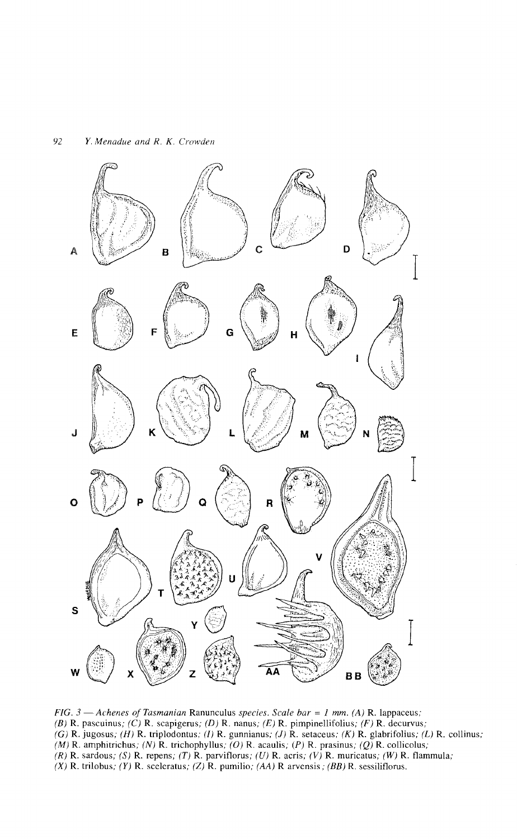

*FIG.* 3 - *Achenes of Tasmanian* Ranunculus *species. Scale bar* = *1 mm.* (A) R. lappaceus; (B) R. pascuinus; (C) R. scapigerus; (D) R. nanus; (E) R. pimpinellifolius; (F) R. decurvus; (G) R. jugosus; (H) R. triplodontus; (l) R. gunnianus; (J) R. setaceus; (K) R. glabrifolius; (L) R. collinus; (M) R. amphitrichus; (N) R. trichophyllus; (O) R. acaulis; (P) R. prasinus; (Q) R. collicolus;  $(R)$  R. sardous; (S) R. repens; (T) R. parviflorus; (U) R. acris; (V) R. muricatus; (W) R. flammula; (X) R. trilobus; (Y) R. sceleratus; (Z) R. pumilio; (AA) R arvensis; (BB) R. sessiliflorus.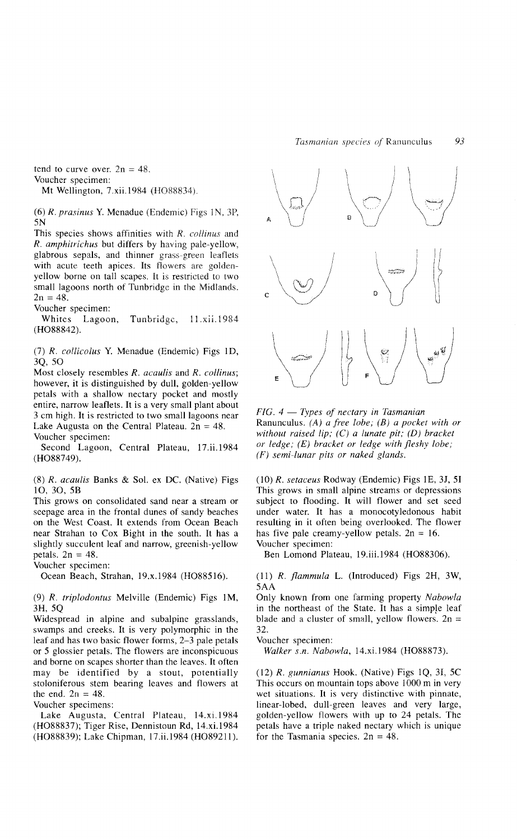tend to curve over.  $2n = 48$ . Voucher specimen:

Mt Wellington, 7.xii.1984 (H088834).

*(6) R. prasinus* Y. Menadue (Endemic) Figs 1N, 3P, 5N

This species shows affinities with *R. collinus* and *R. amphitrichus* but differs by having pale-yellow, glabrous sepals, and thinner grass-green leaflets with acute teeth apices. Its flowers are goldenyellow borne on tall scapes. It is restricted to two small lagoons north of Tunbridge in the Midlands.  $2n = 48.$ 

Voucher specimen:

Whites Lagoon, Tunbridge, II.xii.1984 (H088842).

(7) *R. collicolus* Y. Menadue (Endemic) Figs I D, 3Q,50

Most closely resembles *R. acaulis* and *R. collinus;* however, it is distinguished by dull, golden-yellow petals with a shallow nectary pocket and mostly entire, narrow leaflets. It is a very small plant about 3 em high. It is restricted to two small lagoons near Lake Augusta on the Central Plateau.  $2n = 48$ . Voucher specimen:

Second Lagoon, Central Plateau, 17.ii.1984 (H088749).

*(8) R. acaulis* Banks & Sol. ex DC. (Native) Figs 1O,30,5B

This grows on consolidated sand near a stream or seepage area in the frontal dunes of sandy beaches on the West Coast. It extends from Ocean Beach near Strahan to Cox Bight in the south. It has a slightly succulent leaf and narrow, greenish-yellow petals.  $2n = 48$ .

Voucher specimen:

Ocean Beach, Strahan, 19.x.1984 (H088516).

*(9) R. triplodontus* Melville (Endemic) Figs 1M, 3H, 5Q

Widespread in alpine and subalpine grasslands, swamps and creeks. It is very polymorphic in the leaf and has two basic flower forms, 2-3 pale petals or 5 glossier petals. The flowers are inconspicuous and borne on scapes shorter than the leaves. It often may be identified by a stout, potentially stoloniferous stem bearing leaves and flowers at the end.  $2n = 48$ .

Voucher specimens:

Lake Augusta, Central Plateau, 14.xi.1984 (H088837); Tiger Rise, Dennistoun Rd, 14.xi.1984 (H088839); Lake Chipman, 17.ii.1984 (H089211).



*FIG.* 4 - *Types of nectary* in *Tasmanian* Ranunculus. *(A) a free lobe; (B) a pocket with or without raised lip;* (C) *a lunate pit; (D) bracket or ledge; (E) bracket or ledge with fleshy lobe; (F) semi-lunar pits or naked glands.*

*(10) R. setaceus* Rodway (Endemic) Figs IE, 3J, 51 This grows in small alpine streams or depressions subject to flooding. It will flower and set seed under water. It has a monocotyledonous habit resulting in it often being overlooked. The flower has five pale creamy-yellow petals.  $2n = 16$ . Voucher specimen:

Ben Lomond Plateau, 19.iii.1984 (H088306).

*(11) R. flammula* L. (Introduced) Figs 2H, 3W, 5AA

Only known from one farming property *Nabowla* in the northeast of the State. It has a simple leaf blade and a cluster of small, yellow flowers.  $2n =$ 32.

Voucher specimen:

*Walker s.n. Nabowla,* 14.xi.J 984 (H088873).

(I2) *R. gunnianus* Hook. (Native) Figs lQ, 31, 5C This occurs on mountain tops above 1000 m in very wet situations. It is very distinctive with pinnate, linear-lobed, dull-green leaves and very large, golden-yellow flowers with up to 24 petals. The petals have a triple naked nectary which is unique for the Tasmania species.  $2n = 48$ .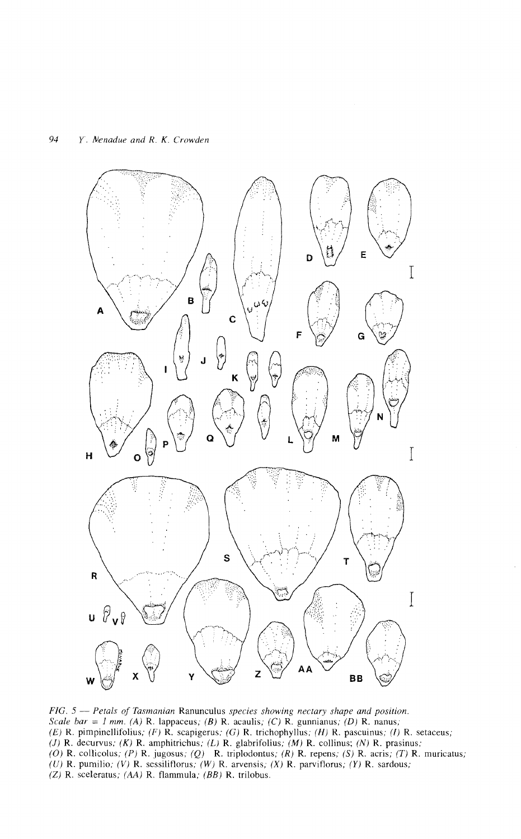

*FIG.* 5 - *Petals of Tasmanian* Ranunculus *species showing nectary shape and position. Scale bar* = *I mm. (A)* R. lappaceus; *(B)* R. acaulis; *(C)* R. gunnianus; *(D)* R. nanus; (E) R. pimpinellifolius; (F)  $\hat{R}$ , scapigerus; (G) R. trichophyllus; (H) R. pascuinus; (I) R. setaceus; (J) R. decurvus; (K) R. amphitrichus; (L) R. glabrifolius; (M) R. collinus; (N) R. prasinus; (O) R. collicolus; (P) R. jugosus; (Q) R. triplodontus; (R) R. repens; (S) R. acris; (T) R. muricatus; (U) R. pumilio; (V) R. sessiliflorus; (W) R. arvensis; (X) R. parviflorus; (Y) R. sardous, (Z) R. sceleratus; (AA) R. flammula; *(BB)* R. trilobus.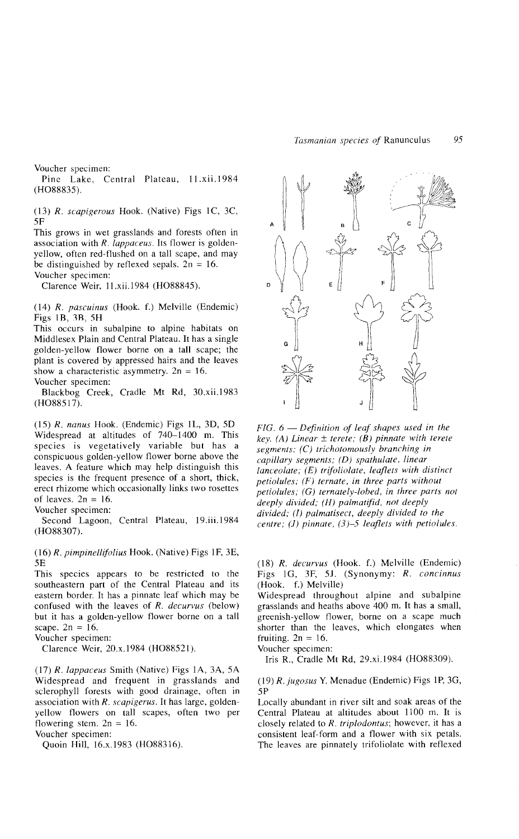Voucher specimen:

Pine Lake, Central Plateau, II.xii.1984 (H08883S).

*(13) R. scapigerous* Hook. (Native) Figs IC, 3C, SF

This grows in wet grasslands and forests often in association with *R. lappaceus.* Its flower is goldenyellow, often red-flushed on a tall scape, and may be distinguished by reflexed sepals.  $2n = 16$ . Voucher specimen:

Clarence Weir, II.xii.1984 (H08884S).

*(14) R. pascuinus* (Hook. f.) Melville (Endemic) Figs IB, *lB,* 5H

This occurs in subalpine to alpine habitats on Middlesex Plain and Central Plateau. It has a single golden-yellow flower borne on a tall scape; the plant is covered by appressed hairs and the leaves show a characteristic asymmetry.  $2n = 16$ . Voucher specimen:

Blackbog Creek, Cradle Mt Rd, 30.xii.l983 (H088517).

*(15) R. nanus* Hook. (Endemic) Figs IL, 3D, 5D Widespread at altitudes of 740-1400 m. This species is vegetatively variable but has a conspicuous golden-yellow flower borne above the leaves. A feature which may help distinguish this species is the frequent presence of a short, thick, erect rhizome which occasionally links two rosettes of leaves.  $2n = 16$ .

Voucher specimen:

Second Lagoon, Central Plateau, 19.iii.1984 (H088307).

*(16) R. pimpinellifolius* Hook. (Native) Figs IF, 3E, 5E

This species appears to be restricted to the southeastern part of the Central Plateau and its eastern border. It has a pinnate leaf which may be confused with the leaves of *R. decurvus* (below) but it has a golden-yellow flower borne on a tall scape.  $2n = 16$ .

Voucher specimen:

Clarence Weir, 20.x.1984 (H088521).

*(17) R. lappaceus* Smith (Native) Figs lA, 3A, SA Widespread and frequent in grasslands and sclerophyll forests with good drainage, often in association with *R. scapigerus.* It has large, goldenyellow flowers on tall scapes, often two per flowering stem.  $2n = 16$ .

Voucher specimen:

Quoin Hill, 16.x.1983 (H088316).



*FIG.* 6 - *Definition of leaf shapes used in the key. (A) Linear* ± *tcrete; (B) pinnate with terete segments; (C) trichotomously branching in capillary segments; (D) spathulate, linear lanceolate; (E) trifoliolate, leaflets with distinct petiolules; (F) ternate, in three parts without petiolules;* (G) *ternately-lohed, in three parts not deeply divided;* (H) *palmatifid, not deeply divided;* (l) *palmatisect, deeply divided to the centre;* (J) *pinnate,* (3)-5 *leaflets with petiolules.*

*(18) R. decurvus* (Hook. f.) Melville (Endemic) Figs IG, 3F, 5J. (Synonymy: *R. concinnus* (Hook. f.) Melville)

Widespread throughout alpine and subalpine grasslands and heaths above 400 m. It has a small, greenish-yellow flower, borne on a scape much shorter than the leaves, which elongates when fruiting.  $2n = 16$ .

Voucher specimen:

Iris R., Cradle Mt Rd, 29.xi.1984 (H088309).

*(19) R. jugosus* Y. Menadue (Endemic) Figs IP, 3G, 5P

Locally abundant in river silt and soak areas of the Central Plateau at altitudes about 1100 m. It is closely related to *R. triplodontus;* however, it has a consistent leaf-form and a flower with six petals. The leaves are pinnately trifoliolate with reflexed